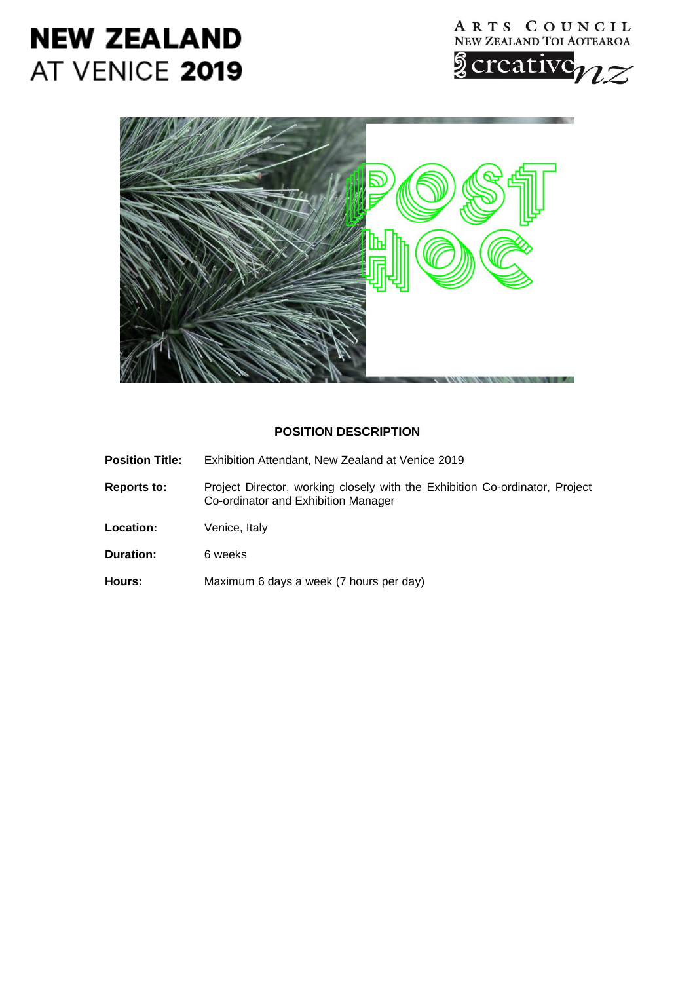# **NEW ZEALAND** AT VENICE 2019





# **POSITION DESCRIPTION**

- **Position Title:** Exhibition Attendant, New Zealand at Venice 2019
- **Reports to:** Project Director, working closely with the Exhibition Co-ordinator, Project Co-ordinator and Exhibition Manager
- Location: Venice, Italy
- **Duration:** 6 weeks
- **Hours:** Maximum 6 days a week (7 hours per day)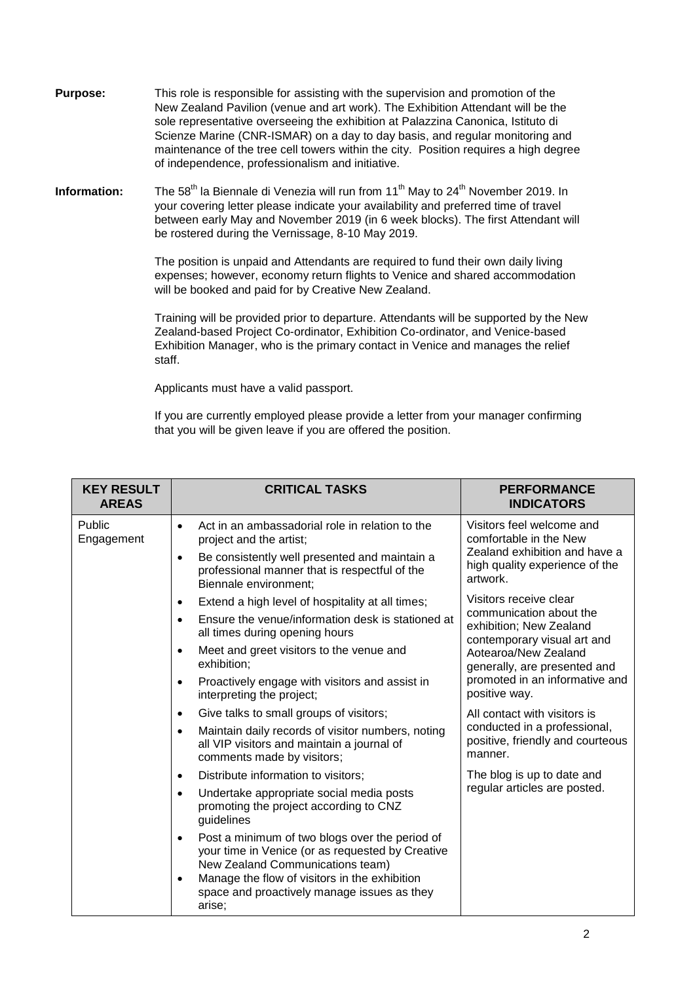- **Purpose:** This role is responsible for assisting with the supervision and promotion of the New Zealand Pavilion (venue and art work). The Exhibition Attendant will be the sole representative overseeing the exhibition at Palazzina Canonica, Istituto di Scienze Marine (CNR-ISMAR) on a day to day basis, and regular monitoring and maintenance of the tree cell towers within the city. Position requires a high degree of independence, professionalism and initiative.
- **Information:** <sup>th</sup> la Biennale di Venezia will run from 11<sup>th</sup> May to 24<sup>th</sup> November 2019. In your covering letter please indicate your availability and preferred time of travel between early May and November 2019 (in 6 week blocks). The first Attendant will be rostered during the Vernissage, 8-10 May 2019.

The position is unpaid and Attendants are required to fund their own daily living expenses; however, economy return flights to Venice and shared accommodation will be booked and paid for by Creative New Zealand.

Training will be provided prior to departure. Attendants will be supported by the New Zealand-based Project Co-ordinator, Exhibition Co-ordinator, and Venice-based Exhibition Manager, who is the primary contact in Venice and manages the relief staff.

Applicants must have a valid passport.

If you are currently employed please provide a letter from your manager confirming that you will be given leave if you are offered the position.

| <b>KEY RESULT</b><br><b>AREAS</b> | <b>CRITICAL TASKS</b>                                                                                                                                 | <b>PERFORMANCE</b><br><b>INDICATORS</b>                                                                                                                                                                                                                                                                                                                      |
|-----------------------------------|-------------------------------------------------------------------------------------------------------------------------------------------------------|--------------------------------------------------------------------------------------------------------------------------------------------------------------------------------------------------------------------------------------------------------------------------------------------------------------------------------------------------------------|
| Public<br>Engagement              | Act in an ambassadorial role in relation to the<br>$\bullet$<br>project and the artist;<br>Be consistently well presented and maintain a<br>$\bullet$ | Visitors feel welcome and<br>comfortable in the New<br>Zealand exhibition and have a<br>high quality experience of the<br>artwork.<br>Visitors receive clear<br>communication about the<br>exhibition; New Zealand<br>contemporary visual art and<br>Aotearoa/New Zealand<br>generally, are presented and<br>promoted in an informative and<br>positive way. |
|                                   | professional manner that is respectful of the<br>Biennale environment;                                                                                |                                                                                                                                                                                                                                                                                                                                                              |
|                                   | Extend a high level of hospitality at all times;<br>$\bullet$                                                                                         |                                                                                                                                                                                                                                                                                                                                                              |
|                                   | Ensure the venue/information desk is stationed at<br>$\bullet$<br>all times during opening hours                                                      |                                                                                                                                                                                                                                                                                                                                                              |
|                                   | Meet and greet visitors to the venue and<br>$\bullet$<br>exhibition;                                                                                  |                                                                                                                                                                                                                                                                                                                                                              |
|                                   | Proactively engage with visitors and assist in<br>$\bullet$<br>interpreting the project;                                                              |                                                                                                                                                                                                                                                                                                                                                              |
|                                   | Give talks to small groups of visitors;<br>$\bullet$                                                                                                  | All contact with visitors is<br>conducted in a professional,<br>positive, friendly and courteous<br>manner.                                                                                                                                                                                                                                                  |
|                                   | Maintain daily records of visitor numbers, noting<br>$\bullet$<br>all VIP visitors and maintain a journal of<br>comments made by visitors;            |                                                                                                                                                                                                                                                                                                                                                              |
|                                   | Distribute information to visitors;<br>$\bullet$                                                                                                      | The blog is up to date and<br>regular articles are posted.                                                                                                                                                                                                                                                                                                   |
|                                   | Undertake appropriate social media posts<br>$\bullet$<br>promoting the project according to CNZ<br>guidelines                                         |                                                                                                                                                                                                                                                                                                                                                              |
|                                   | Post a minimum of two blogs over the period of<br>$\bullet$<br>your time in Venice (or as requested by Creative<br>New Zealand Communications team)   |                                                                                                                                                                                                                                                                                                                                                              |
|                                   | Manage the flow of visitors in the exhibition<br>$\bullet$<br>space and proactively manage issues as they<br>arise;                                   |                                                                                                                                                                                                                                                                                                                                                              |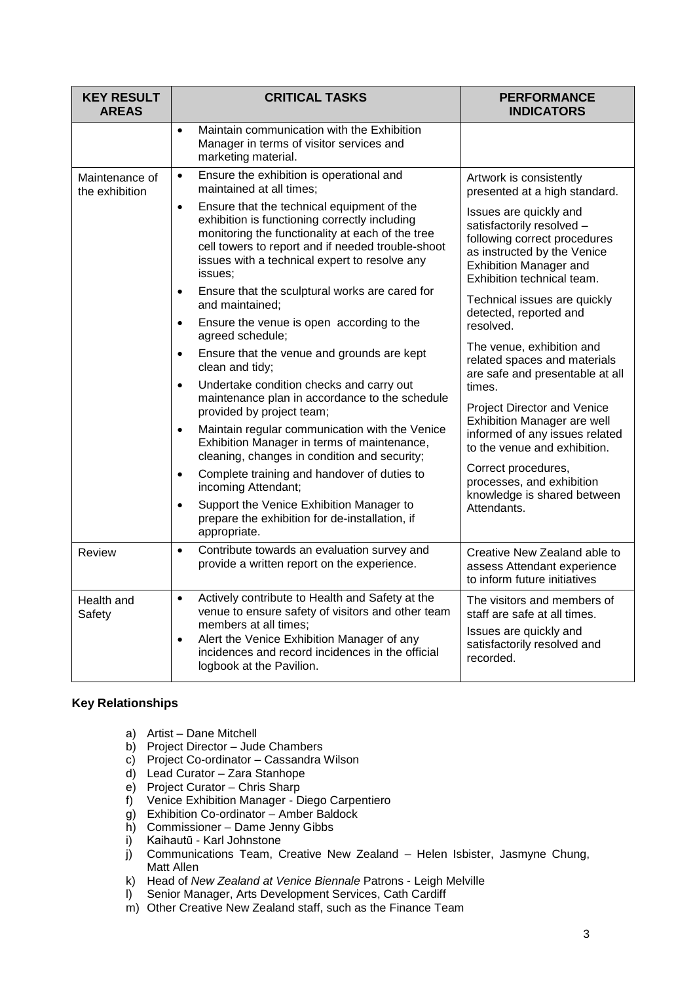| <b>KEY RESULT</b><br><b>AREAS</b> | <b>CRITICAL TASKS</b>                                                                                                                                                                                                                                                                 | <b>PERFORMANCE</b><br><b>INDICATORS</b>                                                                                                                                                                                                                                                                                                                                                                         |
|-----------------------------------|---------------------------------------------------------------------------------------------------------------------------------------------------------------------------------------------------------------------------------------------------------------------------------------|-----------------------------------------------------------------------------------------------------------------------------------------------------------------------------------------------------------------------------------------------------------------------------------------------------------------------------------------------------------------------------------------------------------------|
|                                   | Maintain communication with the Exhibition<br>$\bullet$<br>Manager in terms of visitor services and<br>marketing material.                                                                                                                                                            |                                                                                                                                                                                                                                                                                                                                                                                                                 |
| Maintenance of<br>the exhibition  | Ensure the exhibition is operational and<br>$\bullet$<br>maintained at all times;                                                                                                                                                                                                     | Artwork is consistently<br>presented at a high standard.                                                                                                                                                                                                                                                                                                                                                        |
|                                   | Ensure that the technical equipment of the<br>$\bullet$<br>exhibition is functioning correctly including<br>monitoring the functionality at each of the tree<br>cell towers to report and if needed trouble-shoot<br>issues with a technical expert to resolve any<br>issues:         | Issues are quickly and<br>satisfactorily resolved -<br>following correct procedures<br>as instructed by the Venice<br>Exhibition Manager and<br>Exhibition technical team.                                                                                                                                                                                                                                      |
|                                   | Ensure that the sculptural works are cared for<br>$\bullet$<br>and maintained:                                                                                                                                                                                                        | Technical issues are quickly<br>detected, reported and<br>resolved.<br>The venue, exhibition and<br>related spaces and materials<br>are safe and presentable at all<br>times.<br>Project Director and Venice<br>Exhibition Manager are well<br>informed of any issues related<br>to the venue and exhibition.<br>Correct procedures,<br>processes, and exhibition<br>knowledge is shared between<br>Attendants. |
|                                   | Ensure the venue is open according to the<br>$\bullet$<br>agreed schedule;                                                                                                                                                                                                            |                                                                                                                                                                                                                                                                                                                                                                                                                 |
|                                   | Ensure that the venue and grounds are kept<br>$\bullet$<br>clean and tidy;                                                                                                                                                                                                            |                                                                                                                                                                                                                                                                                                                                                                                                                 |
|                                   | Undertake condition checks and carry out<br>$\bullet$<br>maintenance plan in accordance to the schedule                                                                                                                                                                               |                                                                                                                                                                                                                                                                                                                                                                                                                 |
|                                   | provided by project team;<br>Maintain regular communication with the Venice<br>$\bullet$<br>Exhibition Manager in terms of maintenance,<br>cleaning, changes in condition and security;                                                                                               |                                                                                                                                                                                                                                                                                                                                                                                                                 |
|                                   | Complete training and handover of duties to<br>$\bullet$<br>incoming Attendant;                                                                                                                                                                                                       |                                                                                                                                                                                                                                                                                                                                                                                                                 |
|                                   | Support the Venice Exhibition Manager to<br>$\bullet$<br>prepare the exhibition for de-installation, if<br>appropriate.                                                                                                                                                               |                                                                                                                                                                                                                                                                                                                                                                                                                 |
| Review                            | Contribute towards an evaluation survey and<br>$\bullet$<br>provide a written report on the experience.                                                                                                                                                                               | Creative New Zealand able to<br>assess Attendant experience<br>to inform future initiatives                                                                                                                                                                                                                                                                                                                     |
| Health and<br>Safety              | Actively contribute to Health and Safety at the<br>$\bullet$<br>venue to ensure safety of visitors and other team<br>members at all times;<br>Alert the Venice Exhibition Manager of any<br>$\bullet$<br>incidences and record incidences in the official<br>logbook at the Pavilion. | The visitors and members of<br>staff are safe at all times.                                                                                                                                                                                                                                                                                                                                                     |
|                                   |                                                                                                                                                                                                                                                                                       | Issues are quickly and<br>satisfactorily resolved and<br>recorded.                                                                                                                                                                                                                                                                                                                                              |

# **Key Relationships**

- a) Artist Dane Mitchell
- b) Project Director Jude Chambers
- c) Project Co-ordinator Cassandra Wilson
- d) Lead Curator Zara Stanhope
- e) Project Curator Chris Sharp
- f) Venice Exhibition Manager Diego Carpentiero
- g) Exhibition Co-ordinator Amber Baldock
- h) Commissioner Dame Jenny Gibbs
- i) Kaihautū Karl Johnstone
- j) Communications Team, Creative New Zealand Helen Isbister, Jasmyne Chung, Matt Allen
- k) Head of *New Zealand at Venice Biennale* Patrons Leigh Melville
- l) Senior Manager, Arts Development Services, Cath Cardiff
- m) Other Creative New Zealand staff, such as the Finance Team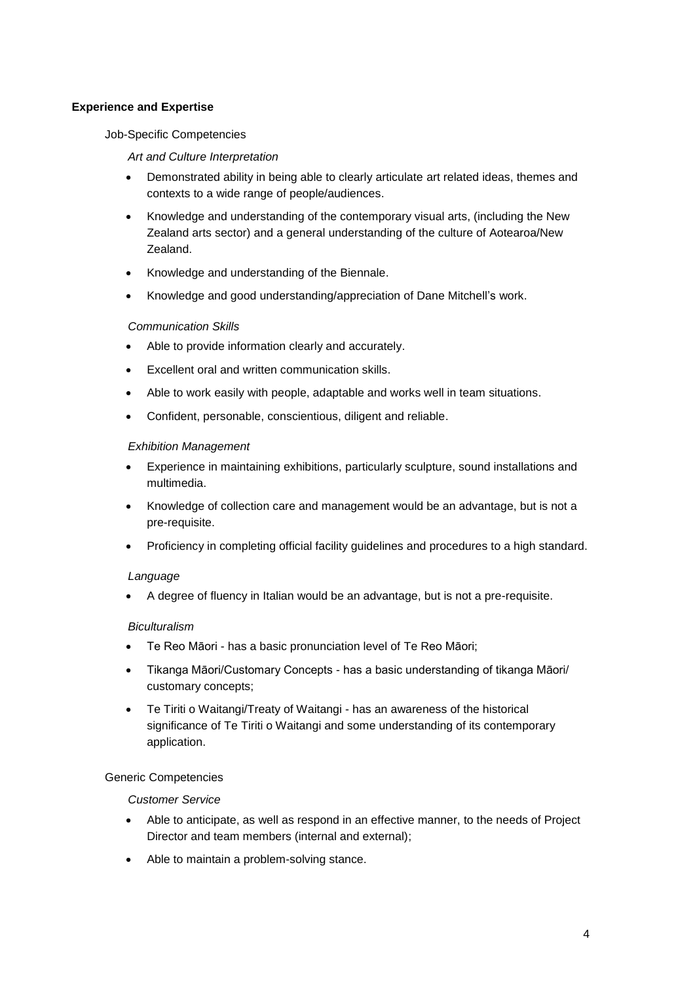# **Experience and Expertise**

# Job-Specific Competencies

# *Art and Culture Interpretation*

- Demonstrated ability in being able to clearly articulate art related ideas, themes and contexts to a wide range of people/audiences.
- Knowledge and understanding of the contemporary visual arts, (including the New Zealand arts sector) and a general understanding of the culture of Aotearoa/New Zealand.
- Knowledge and understanding of the Biennale.
- Knowledge and good understanding/appreciation of Dane Mitchell's work.

#### *Communication Skills*

- Able to provide information clearly and accurately.
- Excellent oral and written communication skills.
- Able to work easily with people, adaptable and works well in team situations.
- Confident, personable, conscientious, diligent and reliable.

#### *Exhibition Management*

- Experience in maintaining exhibitions, particularly sculpture, sound installations and multimedia.
- Knowledge of collection care and management would be an advantage, but is not a pre-requisite.
- Proficiency in completing official facility guidelines and procedures to a high standard.

#### *Language*

A degree of fluency in Italian would be an advantage, but is not a pre-requisite.

# *Biculturalism*

- Te Reo Māori has a basic pronunciation level of Te Reo Māori;
- Tikanga Māori/Customary Concepts has a basic understanding of tikanga Māori/ customary concepts;
- Te Tiriti o Waitangi/Treaty of Waitangi has an awareness of the historical significance of Te Tiriti o Waitangi and some understanding of its contemporary application.

#### Generic Competencies

#### *Customer Service*

- Able to anticipate, as well as respond in an effective manner, to the needs of Project Director and team members (internal and external);
- Able to maintain a problem-solving stance.